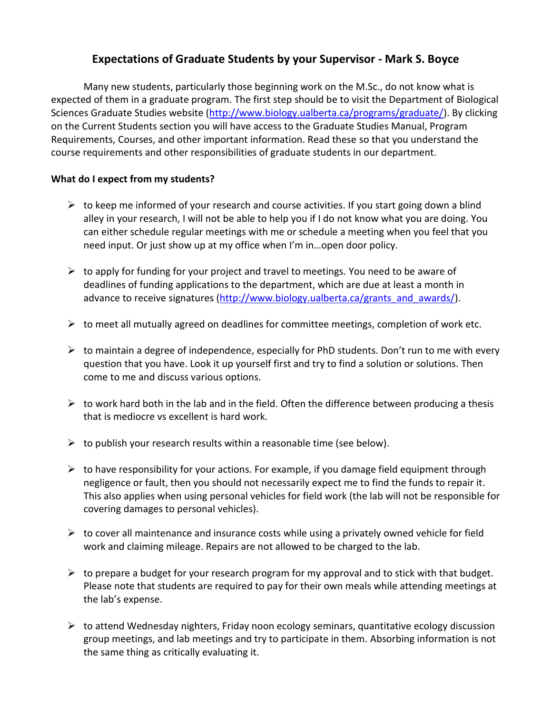# **Expectations of Graduate Students by your Supervisor - Mark S. Boyce**

Many new students, particularly those beginning work on the M.Sc., do not know what is expected of them in a graduate program. The first step should be to visit the Department of Biological Sciences Graduate Studies website [\(http://www.biology.ualberta.ca/programs/graduate/\)](http://www.biology.ualberta.ca/programs/graduate/). By clicking on the Current Students section you will have access to the Graduate Studies Manual, Program Requirements, Courses, and other important information. Read these so that you understand the course requirements and other responsibilities of graduate students in our department.

### **What do I expect from my students?**

- $\triangleright$  to keep me informed of your research and course activities. If you start going down a blind alley in your research, I will not be able to help you if I do not know what you are doing. You can either schedule regular meetings with me or schedule a meeting when you feel that you need input. Or just show up at my office when I'm in…open door policy.
- $\triangleright$  to apply for funding for your project and travel to meetings. You need to be aware of deadlines of funding applications to the department, which are due at least a month in advance to receive signatures [\(http://www.biology.ualberta.ca/grants\\_and\\_awards/\)](http://www.biology.ualberta.ca/grants_and_awards/).
- $\triangleright$  to meet all mutually agreed on deadlines for committee meetings, completion of work etc.
- $\triangleright$  to maintain a degree of independence, especially for PhD students. Don't run to me with every question that you have. Look it up yourself first and try to find a solution or solutions. Then come to me and discuss various options.
- $\triangleright$  to work hard both in the lab and in the field. Often the difference between producing a thesis that is mediocre vs excellent is hard work.
- $\triangleright$  to publish your research results within a reasonable time (see below).
- $\triangleright$  to have responsibility for your actions. For example, if you damage field equipment through negligence or fault, then you should not necessarily expect me to find the funds to repair it. This also applies when using personal vehicles for field work (the lab will not be responsible for covering damages to personal vehicles).
- $\triangleright$  to cover all maintenance and insurance costs while using a privately owned vehicle for field work and claiming mileage. Repairs are not allowed to be charged to the lab.
- $\triangleright$  to prepare a budget for your research program for my approval and to stick with that budget. Please note that students are required to pay for their own meals while attending meetings at the lab's expense.
- $\triangleright$  to attend Wednesday nighters, Friday noon ecology seminars, quantitative ecology discussion group meetings, and lab meetings and try to participate in them. Absorbing information is not the same thing as critically evaluating it.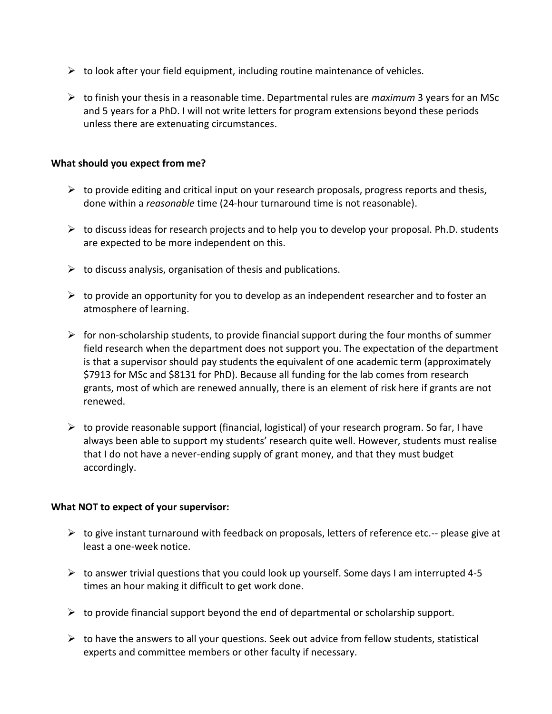- $\triangleright$  to look after your field equipment, including routine maintenance of vehicles.
- to finish your thesis in a reasonable time. Departmental rules are *maximum* 3 years for an MSc and 5 years for a PhD. I will not write letters for program extensions beyond these periods unless there are extenuating circumstances.

#### **What should you expect from me?**

- $\triangleright$  to provide editing and critical input on your research proposals, progress reports and thesis, done within a *reasonable* time (24-hour turnaround time is not reasonable).
- $\triangleright$  to discuss ideas for research projects and to help you to develop your proposal. Ph.D. students are expected to be more independent on this.
- $\triangleright$  to discuss analysis, organisation of thesis and publications.
- $\triangleright$  to provide an opportunity for you to develop as an independent researcher and to foster an atmosphere of learning.
- $\triangleright$  for non-scholarship students, to provide financial support during the four months of summer field research when the department does not support you. The expectation of the department is that a supervisor should pay students the equivalent of one academic term (approximately \$7913 for MSc and \$8131 for PhD). Because all funding for the lab comes from research grants, most of which are renewed annually, there is an element of risk here if grants are not renewed.
- $\triangleright$  to provide reasonable support (financial, logistical) of your research program. So far, I have always been able to support my students' research quite well. However, students must realise that I do not have a never-ending supply of grant money, and that they must budget accordingly.

#### **What NOT to expect of your supervisor:**

- $\triangleright$  to give instant turnaround with feedback on proposals, letters of reference etc.-- please give at least a one-week notice.
- $\triangleright$  to answer trivial questions that you could look up yourself. Some days I am interrupted 4-5 times an hour making it difficult to get work done.
- $\triangleright$  to provide financial support beyond the end of departmental or scholarship support.
- $\triangleright$  to have the answers to all your questions. Seek out advice from fellow students, statistical experts and committee members or other faculty if necessary.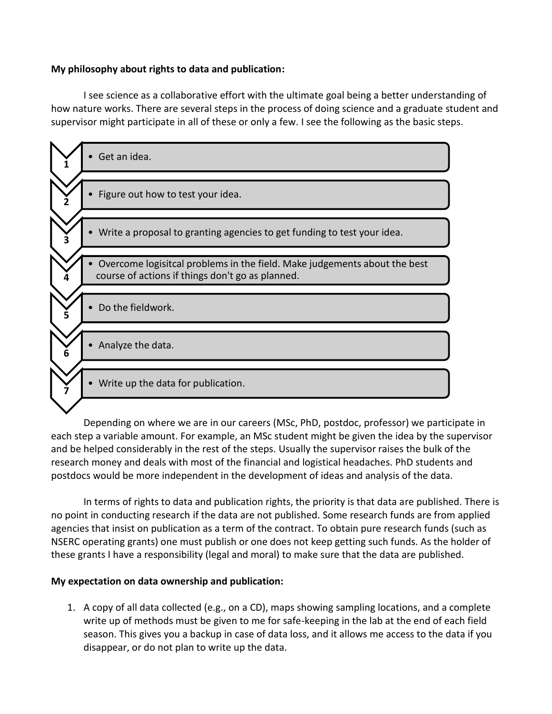## **My philosophy about rights to data and publication:**

I see science as a collaborative effort with the ultimate goal being a better understanding of how nature works. There are several steps in the process of doing science and a graduate student and supervisor might participate in all of these or only a few. I see the following as the basic steps.



Depending on where we are in our careers (MSc, PhD, postdoc, professor) we participate in each step a variable amount. For example, an MSc student might be given the idea by the supervisor and be helped considerably in the rest of the steps. Usually the supervisor raises the bulk of the research money and deals with most of the financial and logistical headaches. PhD students and postdocs would be more independent in the development of ideas and analysis of the data.

In terms of rights to data and publication rights, the priority is that data are published. There is no point in conducting research if the data are not published. Some research funds are from applied agencies that insist on publication as a term of the contract. To obtain pure research funds (such as NSERC operating grants) one must publish or one does not keep getting such funds. As the holder of these grants I have a responsibility (legal and moral) to make sure that the data are published.

### **My expectation on data ownership and publication:**

1. A copy of all data collected (e.g., on a CD), maps showing sampling locations, and a complete write up of methods must be given to me for safe-keeping in the lab at the end of each field season. This gives you a backup in case of data loss, and it allows me access to the data if you disappear, or do not plan to write up the data.